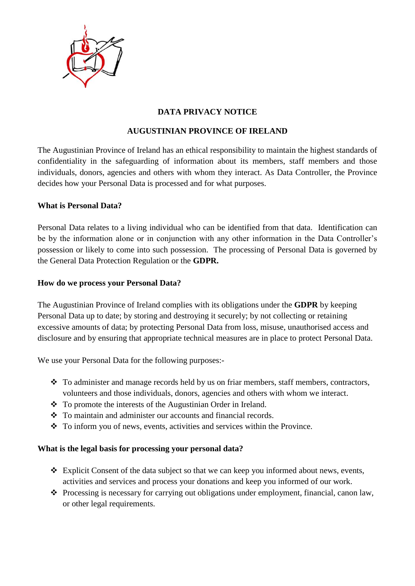

# **DATA PRIVACY NOTICE**

## **AUGUSTINIAN PROVINCE OF IRELAND**

The Augustinian Province of Ireland has an ethical responsibility to maintain the highest standards of confidentiality in the safeguarding of information about its members, staff members and those individuals, donors, agencies and others with whom they interact. As Data Controller, the Province decides how your Personal Data is processed and for what purposes.

### **What is Personal Data?**

Personal Data relates to a living individual who can be identified from that data. Identification can be by the information alone or in conjunction with any other information in the Data Controller's possession or likely to come into such possession. The processing of Personal Data is governed by the General Data Protection Regulation or the **GDPR.**

### **How do we process your Personal Data?**

The Augustinian Province of Ireland complies with its obligations under the **GDPR** by keeping Personal Data up to date; by storing and destroying it securely; by not collecting or retaining excessive amounts of data; by protecting Personal Data from loss, misuse, unauthorised access and disclosure and by ensuring that appropriate technical measures are in place to protect Personal Data.

We use your Personal Data for the following purposes:-

- ❖ To administer and manage records held by us on friar members, staff members, contractors, volunteers and those individuals, donors, agencies and others with whom we interact.
- ❖ To promote the interests of the Augustinian Order in Ireland.
- ❖ To maintain and administer our accounts and financial records.
- ❖ To inform you of news, events, activities and services within the Province.

### **What is the legal basis for processing your personal data?**

- ❖ Explicit Consent of the data subject so that we can keep you informed about news, events, activities and services and process your donations and keep you informed of our work.
- ❖ Processing is necessary for carrying out obligations under employment, financial, canon law, or other legal requirements.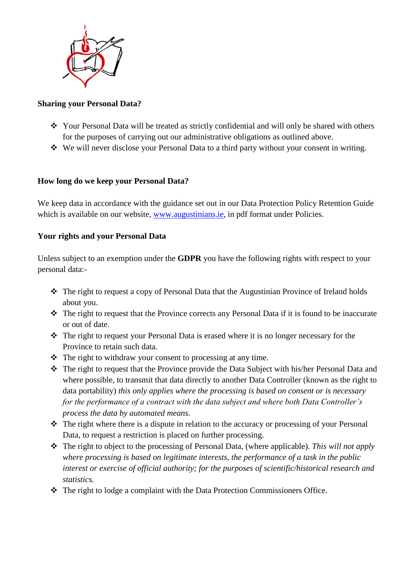

## **Sharing your Personal Data?**

- ❖ Your Personal Data will be treated as strictly confidential and will only be shared with others for the purposes of carrying out our administrative obligations as outlined above.
- ❖ We will never disclose your Personal Data to a third party without your consent in writing.

# **How long do we keep your Personal Data?**

We keep data in accordance with the guidance set out in our Data Protection Policy Retention Guide which is available on our website, [www.augustinians.ie,](http://www.augustinians.ie/) in pdf format under Policies.

### **Your rights and your Personal Data**

Unless subject to an exemption under the **GDPR** you have the following rights with respect to your personal data:-

- ❖ The right to request a copy of Personal Data that the Augustinian Province of Ireland holds about you.
- ❖ The right to request that the Province corrects any Personal Data if it is found to be inaccurate or out of date.
- ❖ The right to request your Personal Data is erased where it is no longer necessary for the Province to retain such data.
- ❖ The right to withdraw your consent to processing at any time.
- ❖ The right to request that the Province provide the Data Subject with his/her Personal Data and where possible, to transmit that data directly to another Data Controller (known as the right to data portability) *this only applies where the processing is based on consent or is necessary for the performance of a contract with the data subject and where both Data Controller's process the data by automated means.*
- ❖ The right where there is a dispute in relation to the accuracy or processing of your Personal Data, to request a restriction is placed on further processing.
- ❖ The right to object to the processing of Personal Data, (where applicable). *This will not apply where processing is based on legitimate interests, the performance of a task in the public interest or exercise of official authority; for the purposes of scientific/historical research and statistics.*
- ❖ The right to lodge a complaint with the Data Protection Commissioners Office.